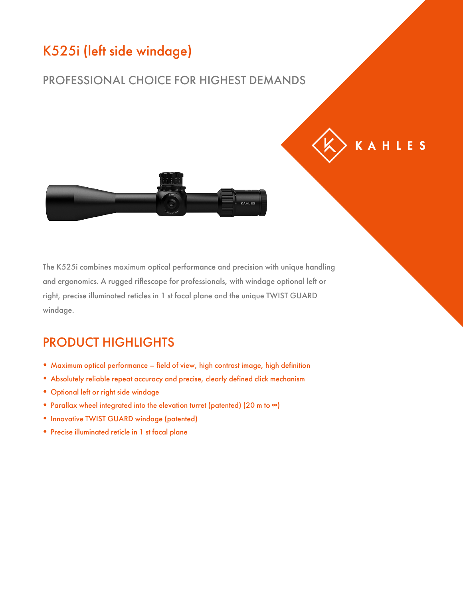## K525i (left side windage)

#### PROFESSIONAL CHOICE FOR HIGHEST DEMANDS

KAHLES



The K525i combines maximum optical performance and precision with unique handling and ergonomics. A rugged riflescope for professionals, with windage optional left or right, precise illuminated reticles in 1 st focal plane and the unique TWIST GUARD windage.

### PRODUCT HIGHLIGHTS

- Maximum optical performance field of view, high contrast image, high definition
- Absolutely reliable repeat accuracy and precise, clearly defined click mechanism
- Optional left or right side windage
- Parallax wheel integrated into the elevation turret (patented) (20 m to ∞)
- Innovative TWIST GUARD windage (patented)
- Precise illuminated reticle in 1 st focal plane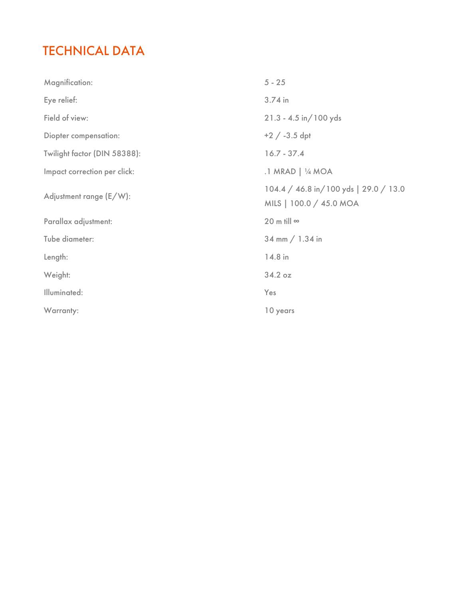### TECHNICAL DATA

| <b>Magnification:</b>        | $5 - 25$                                                         |
|------------------------------|------------------------------------------------------------------|
| Eye relief:                  | 3.74 in                                                          |
| Field of view:               | $21.3 - 4.5$ in / 100 yds                                        |
| Diopter compensation:        | $+2$ / -3.5 dpt                                                  |
| Twilight factor (DIN 58388): | $16.7 - 37.4$                                                    |
| Impact correction per click: | .1 MRAD   1/4 MOA                                                |
| Adjustment range (E/W):      | 104.4 / 46.8 in/100 yds   29.0 / 13.0<br>MILS   100.0 / 45.0 MOA |
| Parallax adjustment:         | 20 m till $\infty$                                               |
| Tube diameter:               | 34 mm $/ 1.34$ in                                                |
| Length:                      | 14.8 in                                                          |
| Weight:                      | 34.2 oz                                                          |
| Illuminated:                 | Yes                                                              |
| Warranty:                    | 10 years                                                         |